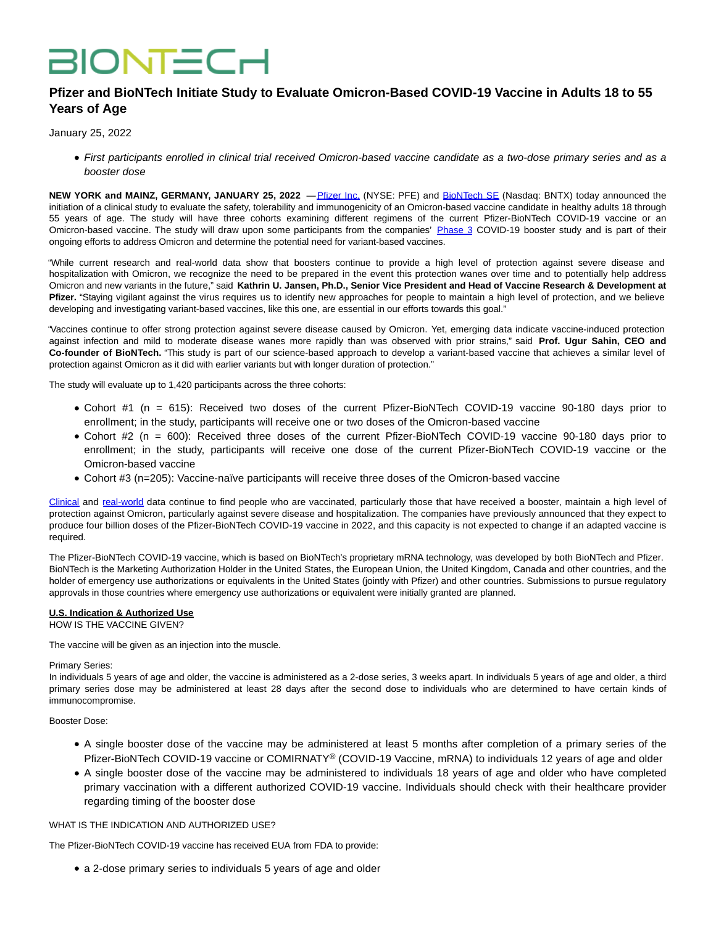# **BIONTECH**

# **Pfizer and BioNTech Initiate Study to Evaluate Omicron-Based COVID-19 Vaccine in Adults 18 to 55 Years of Age**

January 25, 2022

First participants enrolled in clinical trial received Omicron-based vaccine candidate as a two-dose primary series and as a booster dose

**NEW YORK and MAINZ, GERMANY, JANUARY 25, 2022** [— Pfizer Inc. \(](http://www.pfizer.com/)NYSE: PFE) and [BioNTech SE \(](http://www.biontech.de/)Nasdaq: BNTX) today announced the initiation of a clinical study to evaluate the safety, tolerability and immunogenicity of an Omicron-based vaccine candidate in healthy adults 18 through 55 years of age. The study will have three cohorts examining different regimens of the current Pfizer-BioNTech COVID-19 vaccine or an Omicron-based vaccine. The study will draw upon some participants from the companies' [Phase 3](https://investors.biontech.de/news-releases/news-release-details/pfizer-and-biontech-initiate-study-part-broad-development-plan/) COVID-19 booster study and is part of their ongoing efforts to address Omicron and determine the potential need for variant-based vaccines.

"While current research and real-world data show that boosters continue to provide a high level of protection against severe disease and hospitalization with Omicron, we recognize the need to be prepared in the event this protection wanes over time and to potentially help address Omicron and new variants in the future," said **Kathrin U. Jansen, Ph.D., Senior Vice President and Head of Vaccine Research & Development at Pfizer.** "Staying vigilant against the virus requires us to identify new approaches for people to maintain a high level of protection, and we believe developing and investigating variant-based vaccines, like this one, are essential in our efforts towards this goal."

"Vaccines continue to offer strong protection against severe disease caused by Omicron. Yet, emerging data indicate vaccine-induced protection against infection and mild to moderate disease wanes more rapidly than was observed with prior strains," said **Prof. Ugur Sahin, CEO and Co-founder of BioNTech.** "This study is part of our science-based approach to develop a variant-based vaccine that achieves a similar level of protection against Omicron as it did with earlier variants but with longer duration of protection."

The study will evaluate up to 1,420 participants across the three cohorts:

- Cohort #1 (n = 615): Received two doses of the current Pfizer-BioNTech COVID-19 vaccine 90-180 days prior to enrollment; in the study, participants will receive one or two doses of the Omicron-based vaccine
- Cohort #2 (n = 600): Received three doses of the current Pfizer-BioNTech COVID-19 vaccine 90-180 days prior to enrollment; in the study, participants will receive one dose of the current Pfizer-BioNTech COVID-19 vaccine or the Omicron-based vaccine
- Cohort #3 (n=205): Vaccine-naïve participants will receive three doses of the Omicron-based vaccine

[Clinical a](https://www.pfizer.com/news/press-release/press-release-detail/pfizer-and-biontech-publish-data-two-laboratory-studies)nd [real-world d](https://papers.ssrn.com/sol3/papers.cfm?abstract_id=4011905)ata continue to find people who are vaccinated, particularly those that have received a booster, maintain a high level of protection against Omicron, particularly against severe disease and hospitalization. The companies have previously announced that they expect to produce four billion doses of the Pfizer-BioNTech COVID-19 vaccine in 2022, and this capacity is not expected to change if an adapted vaccine is required.

The Pfizer-BioNTech COVID-19 vaccine, which is based on BioNTech's proprietary mRNA technology, was developed by both BioNTech and Pfizer. BioNTech is the Marketing Authorization Holder in the United States, the European Union, the United Kingdom, Canada and other countries, and the holder of emergency use authorizations or equivalents in the United States (jointly with Pfizer) and other countries. Submissions to pursue regulatory approvals in those countries where emergency use authorizations or equivalent were initially granted are planned.

## **U.S. Indication & Authorized Use**

# HOW IS THE VACCINE GIVEN?

The vaccine will be given as an injection into the muscle.

#### Primary Series:

In individuals 5 years of age and older, the vaccine is administered as a 2-dose series, 3 weeks apart. In individuals 5 years of age and older, a third primary series dose may be administered at least 28 days after the second dose to individuals who are determined to have certain kinds of immunocompromise.

Booster Dose:

- A single booster dose of the vaccine may be administered at least 5 months after completion of a primary series of the Pfizer-BioNTech COVID-19 vaccine or COMIRNATY® (COVID-19 Vaccine, mRNA) to individuals 12 years of age and older
- A single booster dose of the vaccine may be administered to individuals 18 years of age and older who have completed primary vaccination with a different authorized COVID-19 vaccine. Individuals should check with their healthcare provider regarding timing of the booster dose

## WHAT IS THE INDICATION AND AUTHORIZED USE?

The Pfizer-BioNTech COVID-19 vaccine has received EUA from FDA to provide:

a 2-dose primary series to individuals 5 years of age and older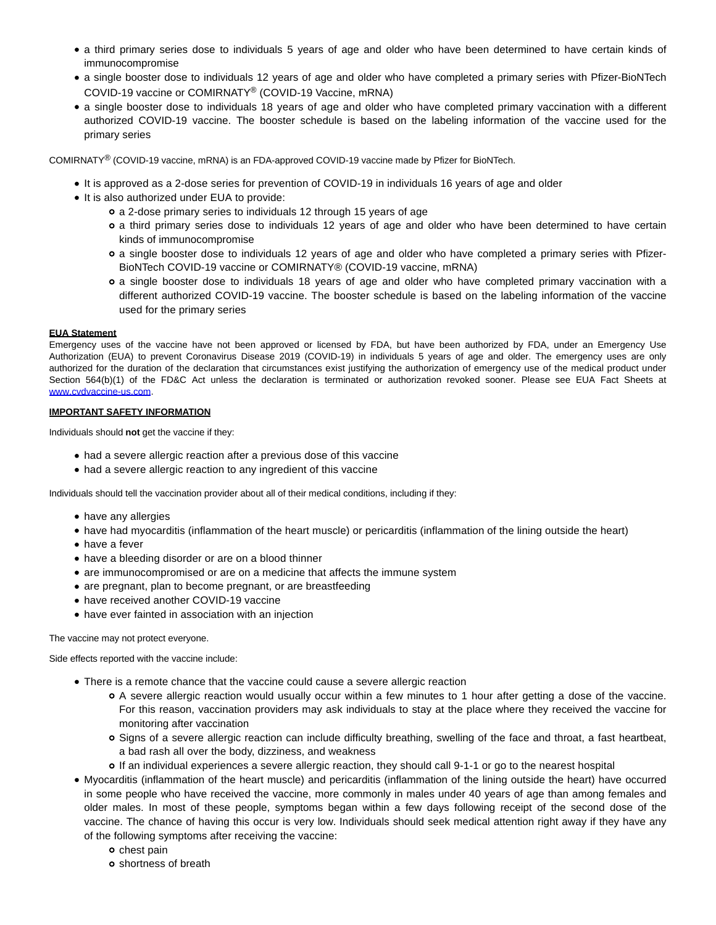- a third primary series dose to individuals 5 years of age and older who have been determined to have certain kinds of immunocompromise
- a single booster dose to individuals 12 years of age and older who have completed a primary series with Pfizer-BioNTech COVID-19 vaccine or COMIRNATY® (COVID-19 Vaccine, mRNA)
- a single booster dose to individuals 18 years of age and older who have completed primary vaccination with a different authorized COVID-19 vaccine. The booster schedule is based on the labeling information of the vaccine used for the primary series

COMIRNATY® (COVID-19 vaccine, mRNA) is an FDA-approved COVID-19 vaccine made by Pfizer for BioNTech.

- It is approved as a 2-dose series for prevention of COVID-19 in individuals 16 years of age and older
- $\bullet$  It is also authorized under EUA to provide:
	- a 2-dose primary series to individuals 12 through 15 years of age
	- a third primary series dose to individuals 12 years of age and older who have been determined to have certain kinds of immunocompromise
	- a single booster dose to individuals 12 years of age and older who have completed a primary series with Pfizer-BioNTech COVID-19 vaccine or COMIRNATY® (COVID-19 vaccine, mRNA)
	- a single booster dose to individuals 18 years of age and older who have completed primary vaccination with a different authorized COVID-19 vaccine. The booster schedule is based on the labeling information of the vaccine used for the primary series

# **EUA Statement**

Emergency uses of the vaccine have not been approved or licensed by FDA, but have been authorized by FDA, under an Emergency Use Authorization (EUA) to prevent Coronavirus Disease 2019 (COVID-19) in individuals 5 years of age and older. The emergency uses are only authorized for the duration of the declaration that circumstances exist justifying the authorization of emergency use of the medical product under Section 564(b)(1) of the FD&C Act unless the declaration is terminated or authorization revoked sooner. Please see EUA Fact Sheets at [www.cvdvaccine-us.com.](http://www.cvdvaccine-us.com/)

# **IMPORTANT SAFETY INFORMATION**

Individuals should **not** get the vaccine if they:

- had a severe allergic reaction after a previous dose of this vaccine
- had a severe allergic reaction to any ingredient of this vaccine

Individuals should tell the vaccination provider about all of their medical conditions, including if they:

- have any allergies
- have had myocarditis (inflammation of the heart muscle) or pericarditis (inflammation of the lining outside the heart)
- have a fever
- have a bleeding disorder or are on a blood thinner
- are immunocompromised or are on a medicine that affects the immune system
- are pregnant, plan to become pregnant, or are breastfeeding
- have received another COVID-19 vaccine
- have ever fainted in association with an injection

The vaccine may not protect everyone.

Side effects reported with the vaccine include:

- There is a remote chance that the vaccine could cause a severe allergic reaction
	- A severe allergic reaction would usually occur within a few minutes to 1 hour after getting a dose of the vaccine. For this reason, vaccination providers may ask individuals to stay at the place where they received the vaccine for monitoring after vaccination
	- Signs of a severe allergic reaction can include difficulty breathing, swelling of the face and throat, a fast heartbeat, a bad rash all over the body, dizziness, and weakness
	- If an individual experiences a severe allergic reaction, they should call 9-1-1 or go to the nearest hospital
- Myocarditis (inflammation of the heart muscle) and pericarditis (inflammation of the lining outside the heart) have occurred in some people who have received the vaccine, more commonly in males under 40 years of age than among females and older males. In most of these people, symptoms began within a few days following receipt of the second dose of the vaccine. The chance of having this occur is very low. Individuals should seek medical attention right away if they have any of the following symptoms after receiving the vaccine:
	- o chest pain
	- shortness of breath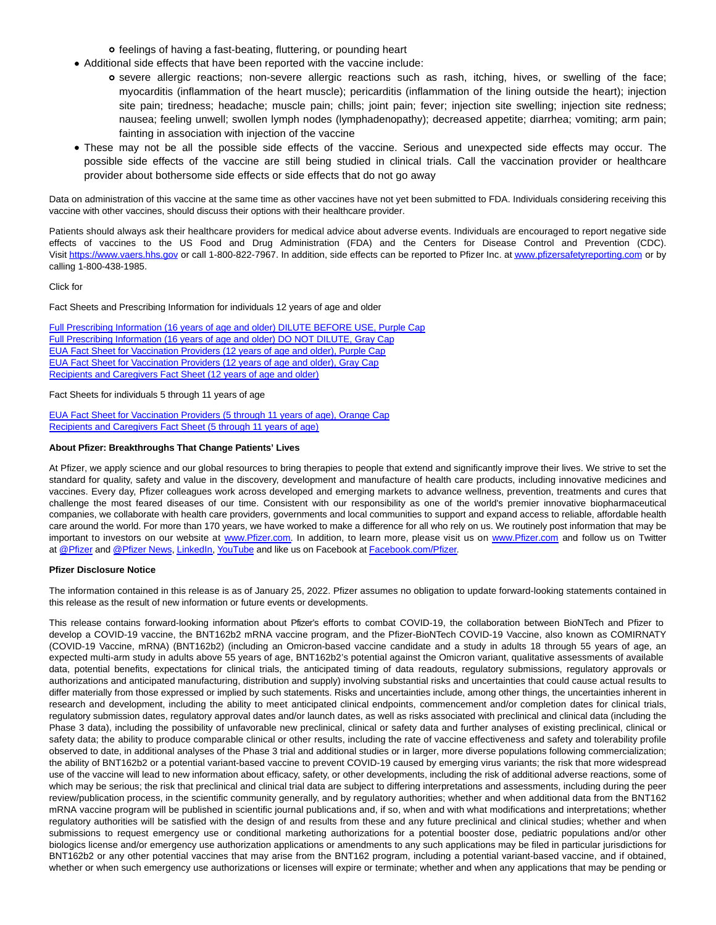o feelings of having a fast-beating, fluttering, or pounding heart

- Additional side effects that have been reported with the vaccine include:
	- o severe allergic reactions; non-severe allergic reactions such as rash, itching, hives, or swelling of the face; myocarditis (inflammation of the heart muscle); pericarditis (inflammation of the lining outside the heart); injection site pain; tiredness; headache; muscle pain; chills; joint pain; fever; injection site swelling; injection site redness; nausea; feeling unwell; swollen lymph nodes (lymphadenopathy); decreased appetite; diarrhea; vomiting; arm pain; fainting in association with injection of the vaccine
- These may not be all the possible side effects of the vaccine. Serious and unexpected side effects may occur. The possible side effects of the vaccine are still being studied in clinical trials. Call the vaccination provider or healthcare provider about bothersome side effects or side effects that do not go away

Data on administration of this vaccine at the same time as other vaccines have not yet been submitted to FDA. Individuals considering receiving this vaccine with other vaccines, should discuss their options with their healthcare provider.

Patients should always ask their healthcare providers for medical advice about adverse events. Individuals are encouraged to report negative side effects of vaccines to the US Food and Drug Administration (FDA) and the Centers for Disease Control and Prevention (CDC). Visi[t https://www.vaers.hhs.gov o](https://cts.businesswire.com/ct/CT?id=smartlink&url=https%3A%2F%2Fwww.vaers.hhs.gov&esheet=52535728&newsitemid=20211122005249&lan=en-US&anchor=https%3A%2F%2Fwww.vaers.hhs.gov&index=5&md5=21be93545da7664d42198b4f5a5dda31)r call 1-800-822-7967. In addition, side effects can be reported to Pfizer Inc. a[t www.pfizersafetyreporting.com o](https://cts.businesswire.com/ct/CT?id=smartlink&url=http%3A%2F%2Fwww.pfizersafetyreporting.com&esheet=52535728&newsitemid=20211122005249&lan=en-US&anchor=www.pfizersafetyreporting.com&index=6&md5=74a58e0b1291d06fce72a3544ea45df3)r by calling 1-800-438-1985.

Click for

Fact Sheets and Prescribing Information for individuals 12 years of age and older

[Full Prescribing Information \(16 years of age and older\) DILUTE BEFORE USE, Purple Cap](https://cts.businesswire.com/ct/CT?id=smartlink&url=https%3A%2F%2Flabeling.pfizer.com%2FShowLabeling.aspx%3Fid%3D15623%26format%3Dpdf&esheet=52561405&newsitemid=20220112005278&lan=en-US&anchor=Full+Prescribing+Information+%2816+years+of+age+and+older%29+DILUTE+BEFORE+USE%2C+Purple+Cap&index=7&md5=71a345ed2c31aa1d417cb86fd01dd27b) [Full Prescribing Information \(16 years of age and older\) DO NOT DILUTE, Gray Cap](https://cts.businesswire.com/ct/CT?id=smartlink&url=https%3A%2F%2Flabeling.pfizer.com%2FShowLabeling.aspx%3Fid%3D16351%26format%3Dpdf&esheet=52561405&newsitemid=20220112005278&lan=en-US&anchor=Full+Prescribing+Information+%2816+years+of+age+and+older%29+DO+NOT+DILUTE%2C+Gray+Cap&index=8&md5=607946a83c543548dcd878f1f9ac571a) [EUA Fact Sheet for Vaccination Providers \(12 years of age and older\), Purple Cap](https://cts.businesswire.com/ct/CT?id=smartlink&url=https%3A%2F%2Flabeling.pfizer.com%2FShowLabeling.aspx%3Fid%3D14471%26format%3Dpdf&esheet=52561405&newsitemid=20220112005278&lan=en-US&anchor=EUA+Fact+Sheet+for+Vaccination+Providers+%2812+years+of+age+and+older%29%2C+Purple+Cap&index=9&md5=8abcb34c5889d2a11c0f3cbd293f76a7) [EUA Fact Sheet for Vaccination Providers \(12 years of age and older\), Gray Cap](https://cts.businesswire.com/ct/CT?id=smartlink&url=https%3A%2F%2Flabeling.pfizer.com%2FShowLabeling.aspx%3Fid%3D16072%26format%3Dpdf&esheet=52561405&newsitemid=20220112005278&lan=en-US&anchor=EUA+Fact+Sheet+for+Vaccination+Providers+%2812+years+of+age+and+older%29%2C+Gray+Cap&index=10&md5=569337688bdee4f12d0f7408a8a08736) [Recipients and Caregivers Fact Sheet \(12 years of age and older\)](https://cts.businesswire.com/ct/CT?id=smartlink&url=https%3A%2F%2Flabeling.pfizer.com%2FShowLabeling.aspx%3Fid%3D14472%26format%3Dpdf&esheet=52561405&newsitemid=20220112005278&lan=en-US&anchor=Recipients+and+Caregivers+Fact+Sheet+%2812+years+of+age+and+older%29&index=11&md5=82e1cf3890d96c731d364e5bea37aa77)

Fact Sheets for individuals 5 through 11 years of age

[EUA Fact Sheet for Vaccination Providers \(5 through 11 years of age\), Orange Cap](https://cts.businesswire.com/ct/CT?id=smartlink&url=https%3A%2F%2Flabeling.pfizer.com%2FShowLabeling.aspx%3Fid%3D16073%26format%3Dpdf&esheet=52561405&newsitemid=20220112005278&lan=en-US&anchor=EUA+Fact+Sheet+for+Vaccination+Providers+%285+through+11+years+of+age%29%2C+Orange+Cap&index=12&md5=f1a937856774b82bf14ab1ada498bbfa) [Recipients and Caregivers Fact Sheet \(5 through 11 years of age\)](https://cts.businesswire.com/ct/CT?id=smartlink&url=https%3A%2F%2Flabeling.pfizer.com%2FShowLabeling.aspx%3Fid%3D16074%26format%3Dpdf&esheet=52561405&newsitemid=20220112005278&lan=en-US&anchor=Recipients+and+Caregivers+Fact+Sheet+%285+through+11+years+of+age%29&index=13&md5=b467d8e335355d284c8e452fd9bd0227)

#### **About Pfizer: Breakthroughs That Change Patients' Lives**

At Pfizer, we apply science and our global resources to bring therapies to people that extend and significantly improve their lives. We strive to set the standard for quality, safety and value in the discovery, development and manufacture of health care products, including innovative medicines and vaccines. Every day, Pfizer colleagues work across developed and emerging markets to advance wellness, prevention, treatments and cures that challenge the most feared diseases of our time. Consistent with our responsibility as one of the world's premier innovative biopharmaceutical companies, we collaborate with health care providers, governments and local communities to support and expand access to reliable, affordable health care around the world. For more than 170 years, we have worked to make a difference for all who rely on us. We routinely post information that may be important to investors on our website at [www.Pfizer.com.](https://cts.businesswire.com/ct/CT?id=smartlink&url=http%3A%2F%2Fwww.pfizer.com%2F&esheet=52535728&newsitemid=20211122005249&lan=en-US&anchor=www.Pfizer.com&index=13&md5=86fc34ec8d41ec9b8385b9d360e79631) In addition, to learn more, please visit us on [www.Pfizer.com](https://cts.businesswire.com/ct/CT?id=smartlink&url=http%3A%2F%2Fwww.pfizer.com%2F&esheet=52535728&newsitemid=20211122005249&lan=en-US&anchor=www.Pfizer.com&index=14&md5=2b3ae91cbed6d06d1a356376c5decea9) and follow us on Twitter at [@Pfizer a](https://cts.businesswire.com/ct/CT?id=smartlink&url=https%3A%2F%2Ftwitter.com%2Fpfizer&esheet=52535728&newsitemid=20211122005249&lan=en-US&anchor=%40Pfizer&index=15&md5=7e65f73b287bd1e7e12d184889098cda)nd [@Pfizer News,](https://cts.businesswire.com/ct/CT?id=smartlink&url=https%3A%2F%2Ftwitter.com%2Fpfizer_news&esheet=52535728&newsitemid=20211122005249&lan=en-US&anchor=%40Pfizer+News&index=16&md5=e8fe01af17376289f3c032a7d0b61f6b) [LinkedIn,](https://cts.businesswire.com/ct/CT?id=smartlink&url=https%3A%2F%2Fwww.linkedin.com%2Fcompany%2Fpfizer&esheet=52535728&newsitemid=20211122005249&lan=en-US&anchor=LinkedIn&index=17&md5=07a7cfeca24b336451b768d60d4092ae) [YouTube a](https://cts.businesswire.com/ct/CT?id=smartlink&url=https%3A%2F%2Fwww.youtube.com%2Fpfizer&esheet=52535728&newsitemid=20211122005249&lan=en-US&anchor=YouTube&index=18&md5=da66e4864a018496af3701eed376d7dc)nd like us on Facebook at [Facebook.com/Pfizer.](https://cts.businesswire.com/ct/CT?id=smartlink&url=https%3A%2F%2Fwww.facebook.com%2FPfizer%2F&esheet=52535728&newsitemid=20211122005249&lan=en-US&anchor=Facebook.com%2FPfizer&index=19&md5=6626072b6beaf278e44dee5e2d0a4d72)

## **Pfizer Disclosure Notice**

The information contained in this release is as of January 25, 2022. Pfizer assumes no obligation to update forward-looking statements contained in this release as the result of new information or future events or developments.

This release contains forward-looking information about Pfizer's efforts to combat COVID-19, the collaboration between BioNTech and Pfizer to develop a COVID-19 vaccine, the BNT162b2 mRNA vaccine program, and the Pfizer-BioNTech COVID-19 Vaccine, also known as COMIRNATY (COVID-19 Vaccine, mRNA) (BNT162b2) (including an Omicron-based vaccine candidate and a study in adults 18 through 55 years of age, an expected multi-arm study in adults above 55 years of age, BNT162b2's potential against the Omicron variant, qualitative assessments of available data, potential benefits, expectations for clinical trials, the anticipated timing of data readouts, regulatory submissions, regulatory approvals or authorizations and anticipated manufacturing, distribution and supply) involving substantial risks and uncertainties that could cause actual results to differ materially from those expressed or implied by such statements. Risks and uncertainties include, among other things, the uncertainties inherent in research and development, including the ability to meet anticipated clinical endpoints, commencement and/or completion dates for clinical trials, regulatory submission dates, regulatory approval dates and/or launch dates, as well as risks associated with preclinical and clinical data (including the Phase 3 data), including the possibility of unfavorable new preclinical, clinical or safety data and further analyses of existing preclinical, clinical or safety data; the ability to produce comparable clinical or other results, including the rate of vaccine effectiveness and safety and tolerability profile observed to date, in additional analyses of the Phase 3 trial and additional studies or in larger, more diverse populations following commercialization; the ability of BNT162b2 or a potential variant-based vaccine to prevent COVID-19 caused by emerging virus variants; the risk that more widespread use of the vaccine will lead to new information about efficacy, safety, or other developments, including the risk of additional adverse reactions, some of which may be serious; the risk that preclinical and clinical trial data are subject to differing interpretations and assessments, including during the peer review/publication process, in the scientific community generally, and by regulatory authorities; whether and when additional data from the BNT162 mRNA vaccine program will be published in scientific journal publications and, if so, when and with what modifications and interpretations; whether regulatory authorities will be satisfied with the design of and results from these and any future preclinical and clinical studies; whether and when submissions to request emergency use or conditional marketing authorizations for a potential booster dose, pediatric populations and/or other biologics license and/or emergency use authorization applications or amendments to any such applications may be filed in particular jurisdictions for BNT162b2 or any other potential vaccines that may arise from the BNT162 program, including a potential variant-based vaccine, and if obtained, whether or when such emergency use authorizations or licenses will expire or terminate; whether and when any applications that may be pending or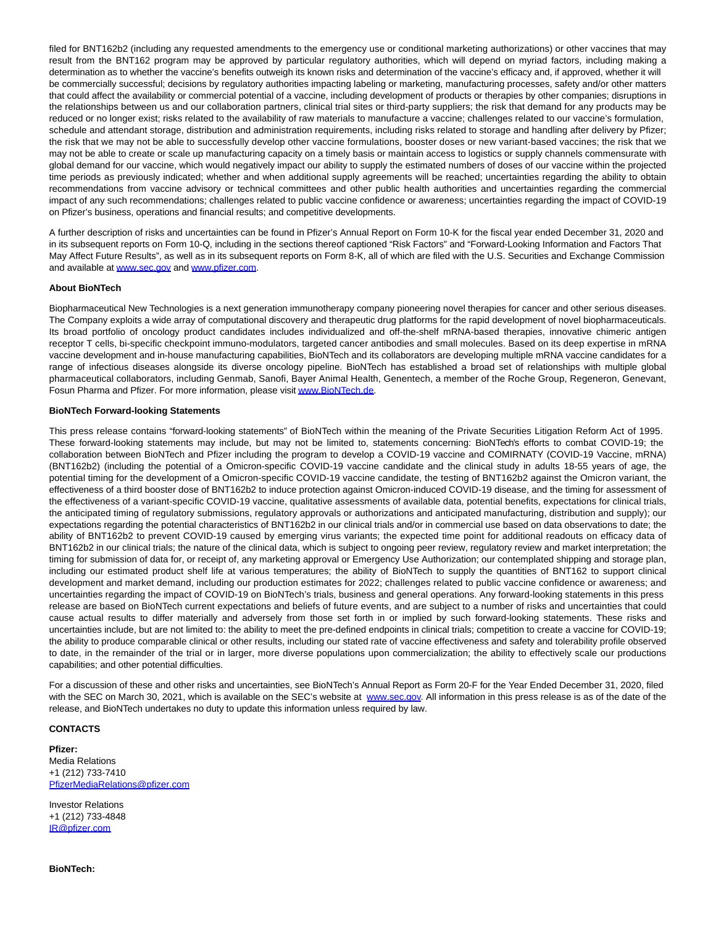filed for BNT162b2 (including any requested amendments to the emergency use or conditional marketing authorizations) or other vaccines that may result from the BNT162 program may be approved by particular regulatory authorities, which will depend on myriad factors, including making a determination as to whether the vaccine's benefits outweigh its known risks and determination of the vaccine's efficacy and, if approved, whether it will be commercially successful; decisions by regulatory authorities impacting labeling or marketing, manufacturing processes, safety and/or other matters that could affect the availability or commercial potential of a vaccine, including development of products or therapies by other companies; disruptions in the relationships between us and our collaboration partners, clinical trial sites or third-party suppliers; the risk that demand for any products may be reduced or no longer exist; risks related to the availability of raw materials to manufacture a vaccine; challenges related to our vaccine's formulation, schedule and attendant storage, distribution and administration requirements, including risks related to storage and handling after delivery by Pfizer; the risk that we may not be able to successfully develop other vaccine formulations, booster doses or new variant-based vaccines; the risk that we may not be able to create or scale up manufacturing capacity on a timely basis or maintain access to logistics or supply channels commensurate with global demand for our vaccine, which would negatively impact our ability to supply the estimated numbers of doses of our vaccine within the projected time periods as previously indicated; whether and when additional supply agreements will be reached; uncertainties regarding the ability to obtain recommendations from vaccine advisory or technical committees and other public health authorities and uncertainties regarding the commercial impact of any such recommendations; challenges related to public vaccine confidence or awareness; uncertainties regarding the impact of COVID-19 on Pfizer's business, operations and financial results; and competitive developments.

A further description of risks and uncertainties can be found in Pfizer's Annual Report on Form 10-K for the fiscal year ended December 31, 2020 and in its subsequent reports on Form 10-Q, including in the sections thereof captioned "Risk Factors" and "Forward-Looking Information and Factors That May Affect Future Results", as well as in its subsequent reports on Form 8-K, all of which are filed with the U.S. Securities and Exchange Commission and available at [www.sec.gov a](https://cts.businesswire.com/ct/CT?id=smartlink&url=https%3A%2F%2Fwww.globenewswire.com%2FTracker%3Fdata%3DRnYjuX1qNnk63wnFRI2njqkWCUtSvj6x_99MqPLwYIXuudw4effilg2LyEquwqm-7QGJ6tM6dhKt8Yb6iY-5gw%3D%3D&esheet=52535728&newsitemid=20211122005249&lan=en-US&anchor=www.sec.gov&index=20&md5=83d60d6a45f4bfc74c876bd948585b4b)nd [www.pfizer.com.](https://cts.businesswire.com/ct/CT?id=smartlink&url=https%3A%2F%2Fwww.globenewswire.com%2FTracker%3Fdata%3DRnYjuX1qNnk63wnFRI2njhMtuWVC6S5kOg8JnuFHwPyIzH1O7AiSzrr-wECJd2hrMZ7668ALHee8mVEXVNXWFA%3D%3D&esheet=52535728&newsitemid=20211122005249&lan=en-US&anchor=www.pfizer.com&index=21&md5=cc1079bdfcc3e13354db3948b6817d00)

#### **About BioNTech**

Biopharmaceutical New Technologies is a next generation immunotherapy company pioneering novel therapies for cancer and other serious diseases. The Company exploits a wide array of computational discovery and therapeutic drug platforms for the rapid development of novel biopharmaceuticals. Its broad portfolio of oncology product candidates includes individualized and off-the-shelf mRNA-based therapies, innovative chimeric antigen receptor T cells, bi-specific checkpoint immuno-modulators, targeted cancer antibodies and small molecules. Based on its deep expertise in mRNA vaccine development and in-house manufacturing capabilities, BioNTech and its collaborators are developing multiple mRNA vaccine candidates for a range of infectious diseases alongside its diverse oncology pipeline. BioNTech has established a broad set of relationships with multiple global pharmaceutical collaborators, including Genmab, Sanofi, Bayer Animal Health, Genentech, a member of the Roche Group, Regeneron, Genevant, Fosun Pharma and Pfizer. For more information, please visi[t www.BioNTech.de.](https://cts.businesswire.com/ct/CT?id=smartlink&url=http%3A%2F%2Fwww.BioNTech.de&esheet=52535728&newsitemid=20211122005249&lan=en-US&anchor=www.BioNTech.de&index=22&md5=374e61bcbf420649b4daa736237407e5)

#### **BioNTech Forward-looking Statements**

This press release contains "forward-looking statements" of BioNTech within the meaning of the Private Securities Litigation Reform Act of 1995. These forward-looking statements may include, but may not be limited to, statements concerning: BioNTech's efforts to combat COVID-19; the collaboration between BioNTech and Pfizer including the program to develop a COVID-19 vaccine and COMIRNATY (COVID-19 Vaccine, mRNA) (BNT162b2) (including the potential of a Omicron-specific COVID-19 vaccine candidate and the clinical study in adults 18-55 years of age, the potential timing for the development of a Omicron-specific COVID-19 vaccine candidate, the testing of BNT162b2 against the Omicron variant, the effectiveness of a third booster dose of BNT162b2 to induce protection against Omicron-induced COVID-19 disease, and the timing for assessment of the effectiveness of a variant-specific COVID-19 vaccine, qualitative assessments of available data, potential benefits, expectations for clinical trials, the anticipated timing of regulatory submissions, regulatory approvals or authorizations and anticipated manufacturing, distribution and supply); our expectations regarding the potential characteristics of BNT162b2 in our clinical trials and/or in commercial use based on data observations to date; the ability of BNT162b2 to prevent COVID-19 caused by emerging virus variants; the expected time point for additional readouts on efficacy data of BNT162b2 in our clinical trials; the nature of the clinical data, which is subject to ongoing peer review, regulatory review and market interpretation; the timing for submission of data for, or receipt of, any marketing approval or Emergency Use Authorization; our contemplated shipping and storage plan, including our estimated product shelf life at various temperatures; the ability of BioNTech to supply the quantities of BNT162 to support clinical development and market demand, including our production estimates for 2022; challenges related to public vaccine confidence or awareness; and uncertainties regarding the impact of COVID-19 on BioNTech's trials, business and general operations. Any forward-looking statements in this press release are based on BioNTech current expectations and beliefs of future events, and are subject to a number of risks and uncertainties that could cause actual results to differ materially and adversely from those set forth in or implied by such forward-looking statements. These risks and uncertainties include, but are not limited to: the ability to meet the pre-defined endpoints in clinical trials; competition to create a vaccine for COVID-19; the ability to produce comparable clinical or other results, including our stated rate of vaccine effectiveness and safety and tolerability profile observed to date, in the remainder of the trial or in larger, more diverse populations upon commercialization; the ability to effectively scale our productions capabilities; and other potential difficulties.

For a discussion of these and other risks and uncertainties, see BioNTech's Annual Report as Form 20-F for the Year Ended December 31, 2020, filed with the SEC on March 30, 2021, which is available on the SEC's website at [www.sec.gov.](https://cts.businesswire.com/ct/CT?id=smartlink&url=http%3A%2F%2Fwww.sec.gov&esheet=52535728&newsitemid=20211122005249&lan=en-US&anchor=www.sec.gov&index=23&md5=f8b75e14ab6f15e473ba428ff80cb8ef) All information in this press release is as of the date of the release, and BioNTech undertakes no duty to update this information unless required by law.

#### **CONTACTS**

**Pfizer:** Media Relations +1 (212) 733-7410 [PfizerMediaRelations@pfizer.com](mailto:PfizerMediaRelations@pfizer.com)

Investor Relations +1 (212) 733-4848 [IR@pfizer.com](mailto:IR@pfizer.com)